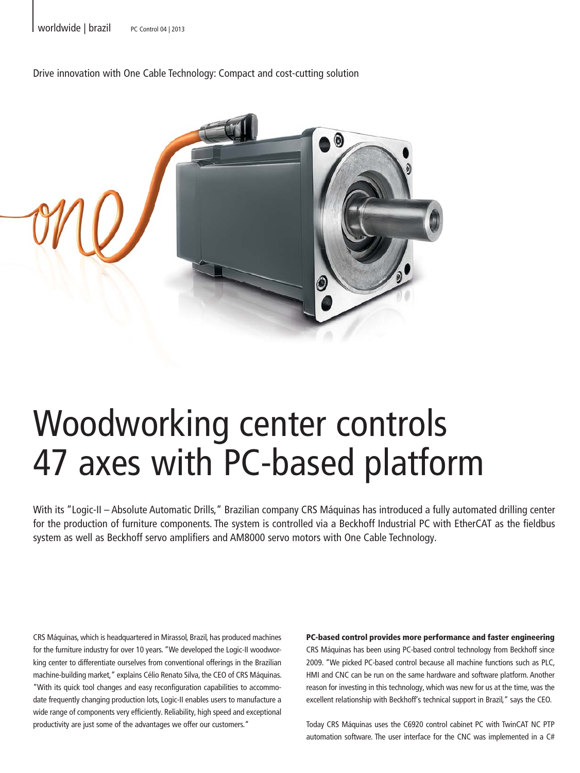Drive innovation with One Cable Technology: Compact and cost-cutting solution



## Woodworking center controls 47 axes with PC-based platform

With its "Logic-II – Absolute Automatic Drills," Brazilian company CRS Máquinas has introduced a fully automated drilling center for the production of furniture components. The system is controlled via a Beckhoff Industrial PC with EtherCAT as the fieldbus system as well as Beckhoff servo amplifiers and AM8000 servo motors with One Cable Technology.

CRS Máquinas, which is headquartered in Mirassol, Brazil, has produced machines for the furniture industry for over 10 years. "We developed the Logic-II woodworking center to differentiate ourselves from conventional offerings in the Brazilian machine-building market," explains Célio Renato Silva, the CEO of CRS Máquinas. "With its quick tool changes and easy reconfiguration capabilities to accommodate frequently changing production lots, Logic-II enables users to manufacture a wide range of components very efficiently. Reliability, high speed and exceptional productivity are just some of the advantages we offer our customers."

PC-based control provides more performance and faster engineering CRS Máquinas has been using PC-based control technology from Beckhoff since 2009. "We picked PC-based control because all machine functions such as PLC, HMI and CNC can be run on the same hardware and software platform. Another reason for investing in this technology, which was new for us at the time, was the excellent relationship with Beckhoff's technical support in Brazil," says the CEO.

Today CRS Máquinas uses the C6920 control cabinet PC with TwinCAT NC PTP automation software. The user interface for the CNC was implemented in a C#